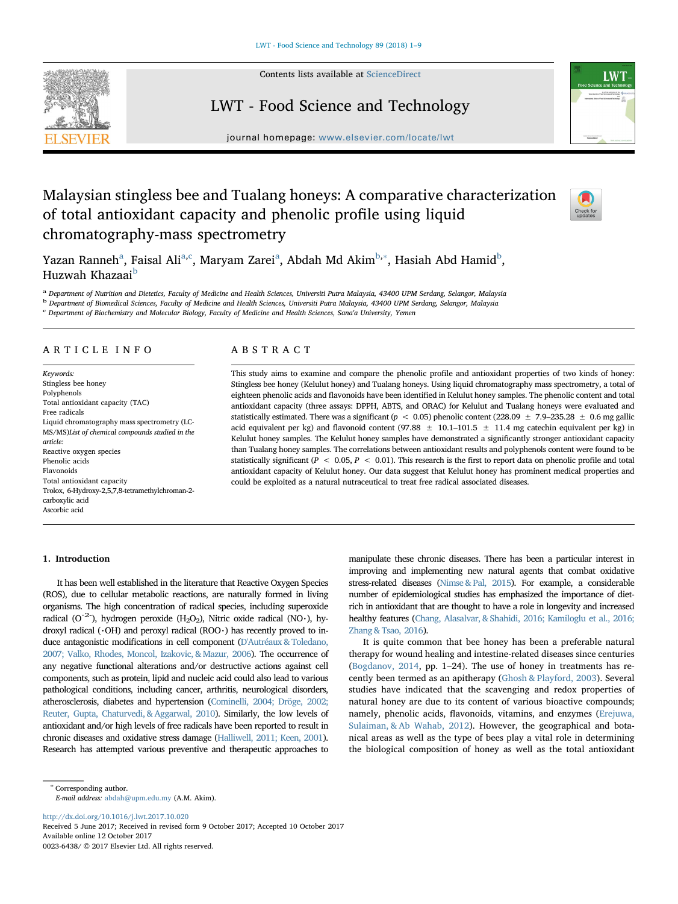

Contents lists available at [ScienceDirect](http://www.sciencedirect.com/science/journal/00236438)

# LWT - Food Science and Technology



journal homepage: [www.elsevier.com/locate/lwt](https://www.elsevier.com/locate/lwt)

# Malaysian stingless bee and Tualang honeys: A comparative characterization of total antioxidant capacity and phenolic profile using liquid chromatography-mass spectrometry



Y[a](#page-0-0)zan Ranneh<sup>a</sup>, Faisal Ali<sup>a[,c](#page-0-1)</sup>, Maryam Zarei<sup>a</sup>, A[b](#page-0-2)dah Md Akim<sup>b,</sup>\*, Hasiah Abd Hamid<sup>b</sup>, Huzwah Khazaai<sup>[b](#page-0-2)</sup>

<span id="page-0-2"></span><span id="page-0-0"></span>a Department of Nutrition and Dietetics, Faculty of Medicine and Health Sciences, Universiti Putra Malaysia, 43400 UPM Serdang, Selangor, Malaysia <sup>b</sup> Department of Biomedical Sciences, Faculty of Medicine and Health Sciences, Universiti Putra Malaysia, 43400 UPM Serdang, Selangor, Malaysia

<span id="page-0-1"></span><sup>c</sup> Department of Biochemistry and Molecular Biology, Faculty of Medicine and Health Sciences, Sana'a University, Yemen

# ARTICLE INFO

Keywords: Stingless bee honey Polyphenols Total antioxidant capacity (TAC) Free radicals Liquid chromatography mass spectrometry (LC-MS/MS)List of chemical compounds studied in the article: Reactive oxygen species Phenolic acids Flavonoids Total antioxidant capacity Trolox, 6-Hydroxy-2,5,7,8-tetramethylchroman-2 carboxylic acid Ascorbic acid

# ABSTRACT

This study aims to examine and compare the phenolic profile and antioxidant properties of two kinds of honey: Stingless bee honey (Kelulut honey) and Tualang honeys. Using liquid chromatography mass spectrometry, a total of eighteen phenolic acids and flavonoids have been identified in Kelulut honey samples. The phenolic content and total antioxidant capacity (three assays: DPPH, ABTS, and ORAC) for Kelulut and Tualang honeys were evaluated and statistically estimated. There was a significant ( $p < 0.05$ ) phenolic content (228.09  $\pm$  7.9–235.28  $\pm$  0.6 mg gallic acid equivalent per kg) and flavonoid content (97.88  $\pm$  10.1–101.5  $\pm$  11.4 mg catechin equivalent per kg) in Kelulut honey samples. The Kelulut honey samples have demonstrated a significantly stronger antioxidant capacity than Tualang honey samples. The correlations between antioxidant results and polyphenols content were found to be statistically significant ( $P < 0.05$ ,  $P < 0.01$ ). This research is the first to report data on phenolic profile and total antioxidant capacity of Kelulut honey. Our data suggest that Kelulut honey has prominent medical properties and could be exploited as a natural nutraceutical to treat free radical associated diseases.

### 1. Introduction

It has been well established in the literature that Reactive Oxygen Species (ROS), due to cellular metabolic reactions, are naturally formed in living organisms. The high concentration of radical species, including superoxide radical (O<sup>-2-</sup>), hydrogen peroxide (H<sub>2</sub>O<sub>2</sub>), Nitric oxide radical (NO·), hydroxyl radical ( $\cdot$ OH) and peroxyl radical (ROO $\cdot$ ) has recently proved to induce antagonistic modifications in cell component ([D'Autréaux & Toledano,](#page-8-0) [2007; Valko, Rhodes, Moncol, Izakovic, & Mazur, 2006\)](#page-8-0). The occurrence of any negative functional alterations and/or destructive actions against cell components, such as protein, lipid and nucleic acid could also lead to various pathological conditions, including cancer, arthritis, neurological disorders, atherosclerosis, diabetes and hypertension [\(Cominelli, 2004; Dröge, 2002;](#page-8-1) [Reuter, Gupta, Chaturvedi, & Aggarwal, 2010\)](#page-8-1). Similarly, the low levels of antioxidant and/or high levels of free radicals have been reported to result in chronic diseases and oxidative stress damage [\(Halliwell, 2011; Keen, 2001\)](#page-8-2). Research has attempted various preventive and therapeutic approaches to manipulate these chronic diseases. There has been a particular interest in improving and implementing new natural agents that combat oxidative stress-related diseases ([Nimse & Pal, 2015](#page-8-3)). For example, a considerable number of epidemiological studies has emphasized the importance of dietrich in antioxidant that are thought to have a role in longevity and increased healthy features [\(Chang, Alasalvar, & Shahidi, 2016; Kamiloglu et al., 2016;](#page-8-4) [Zhang & Tsao, 2016\)](#page-8-4).

It is quite common that bee honey has been a preferable natural therapy for wound healing and intestine-related diseases since centuries ([Bogdanov, 2014](#page-8-5), pp. 1–24). The use of honey in treatments has recently been termed as an apitherapy ([Ghosh & Playford, 2003](#page-8-6)). Several studies have indicated that the scavenging and redox properties of natural honey are due to its content of various bioactive compounds; namely, phenolic acids, flavonoids, vitamins, and enzymes ([Erejuwa,](#page-8-7) [Sulaiman, & Ab Wahab, 2012](#page-8-7)). However, the geographical and botanical areas as well as the type of bees play a vital role in determining the biological composition of honey as well as the total antioxidant

E-mail address: [abdah@upm.edu.my](mailto:abdah@upm.edu.my) (A.M. Akim).

<http://dx.doi.org/10.1016/j.lwt.2017.10.020>

Received 5 June 2017; Received in revised form 9 October 2017; Accepted 10 October 2017 Available online 12 October 2017 0023-6438/ © 2017 Elsevier Ltd. All rights reserved.

<span id="page-0-3"></span><sup>∗</sup> Corresponding author.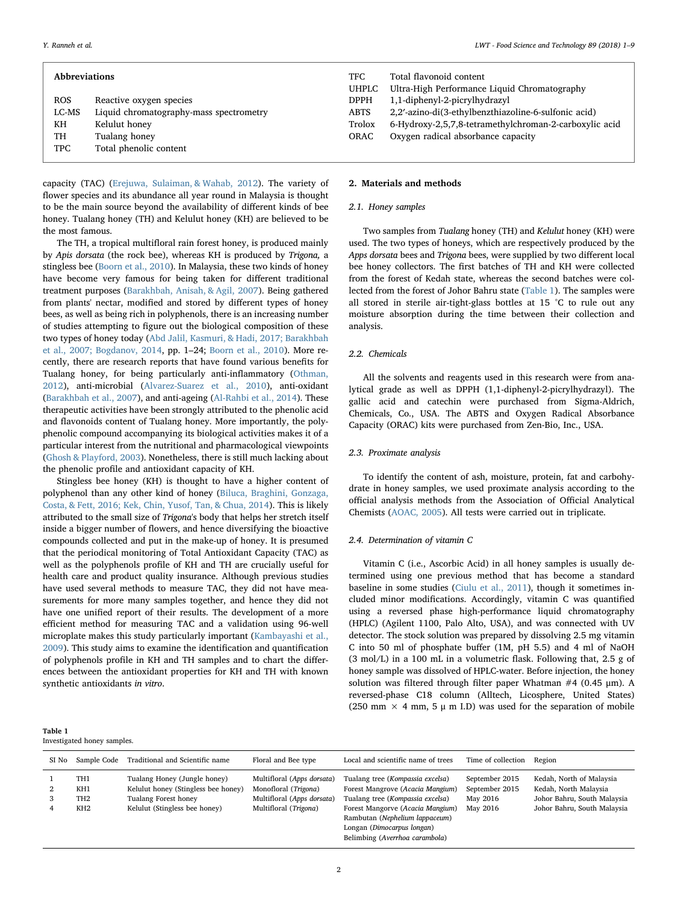|            | <b>Abbreviations</b>                    | TFC.<br>UHPLC | Total flavonoid content<br>Ultra-High Performance Liquid Chromatos |
|------------|-----------------------------------------|---------------|--------------------------------------------------------------------|
| <b>ROS</b> | Reactive oxygen species                 | <b>DPPH</b>   | 1,1-diphenyl-2-picrylhydrazyl                                      |
| LC-MS      | Liquid chromatography-mass spectrometry | <b>ABTS</b>   | 2,2'-azino-di(3-ethylbenzthiazoline-6-sulfo                        |
| KH         | Kelulut honey                           | Trolox        | 6-Hydroxy-2,5,7,8-tetramethylchroman-2-                            |
| TH         | Tualang honey                           | ORAC          | Oxygen radical absorbance capacity                                 |
| <b>TPC</b> | Total phenolic content                  |               |                                                                    |
|            |                                         |               |                                                                    |

capacity (TAC) [\(Erejuwa, Sulaiman, & Wahab, 2012\)](#page-8-7). The variety of flower species and its abundance all year round in Malaysia is thought to be the main source beyond the availability of different kinds of bee honey. Tualang honey (TH) and Kelulut honey (KH) are believed to be the most famous.

The TH, a tropical multifloral rain forest honey, is produced mainly by Apis dorsata (the rock bee), whereas KH is produced by Trigona, a stingless bee ([Boorn et al., 2010](#page-8-8)). In Malaysia, these two kinds of honey have become very famous for being taken for different traditional treatment purposes ([Barakhbah, Anisah, & Agil, 2007](#page-8-9)). Being gathered from plants' nectar, modified and stored by different types of honey bees, as well as being rich in polyphenols, there is an increasing number of studies attempting to figure out the biological composition of these two types of honey today [\(Abd Jalil, Kasmuri, & Hadi, 2017; Barakhbah](#page-7-0) [et al., 2007; Bogdanov, 2014](#page-7-0), pp. 1–24; [Boorn et al., 2010\)](#page-8-8). More recently, there are research reports that have found various benefits for Tualang honey, for being particularly anti-inflammatory ([Othman,](#page-8-10) [2012\)](#page-8-10), anti-microbial ([Alvarez-Suarez et al., 2010](#page-8-11)), anti-oxidant ([Barakhbah et al., 2007\)](#page-8-9), and anti-ageing ([Al-Rahbi et al., 2014\)](#page-7-1). These therapeutic activities have been strongly attributed to the phenolic acid and flavonoids content of Tualang honey. More importantly, the polyphenolic compound accompanying its biological activities makes it of a particular interest from the nutritional and pharmacological viewpoints ([Ghosh & Playford, 2003](#page-8-6)). Nonetheless, there is still much lacking about the phenolic profile and antioxidant capacity of KH.

Stingless bee honey (KH) is thought to have a higher content of polyphenol than any other kind of honey [\(Biluca, Braghini, Gonzaga,](#page-8-12) [Costa, & Fett, 2016; Kek, Chin, Yusof, Tan, & Chua, 2014](#page-8-12)). This is likely attributed to the small size of Trigona's body that helps her stretch itself inside a bigger number of flowers, and hence diversifying the bioactive compounds collected and put in the make-up of honey. It is presumed that the periodical monitoring of Total Antioxidant Capacity (TAC) as well as the polyphenols profile of KH and TH are crucially useful for health care and product quality insurance. Although previous studies have used several methods to measure TAC, they did not have measurements for more many samples together, and hence they did not have one unified report of their results. The development of a more efficient method for measuring TAC and a validation using 96-well microplate makes this study particularly important [\(Kambayashi et al.,](#page-8-13) [2009\)](#page-8-13). This study aims to examine the identification and quantification of polyphenols profile in KH and TH samples and to chart the differences between the antioxidant properties for KH and TH with known synthetic antioxidants in vitro.

| TFC.         | Total flavonoid content                                |
|--------------|--------------------------------------------------------|
| <b>UHPLC</b> | Ultra-High Performance Liquid Chromatography           |
| <b>DPPH</b>  | 1,1-diphenyl-2-picrylhydrazyl                          |
| ABTS         | 2,2'-azino-di(3-ethylbenzthiazoline-6-sulfonic acid)   |
| Trolox       | 6-Hydroxy-2,5,7,8-tetramethylchroman-2-carboxylic acid |
| ORAC         | Oxygen radical absorbance capacity                     |
|              |                                                        |

#### 2. Materials and methods

#### 2.1. Honey samples

Two samples from Tualang honey (TH) and Kelulut honey (KH) were used. The two types of honeys, which are respectively produced by the Apps dorsata bees and Trigona bees, were supplied by two different local bee honey collectors. The first batches of TH and KH were collected from the forest of Kedah state, whereas the second batches were collected from the forest of Johor Bahru state [\(Table 1](#page-1-0)). The samples were all stored in sterile air-tight-glass bottles at 15 °C to rule out any moisture absorption during the time between their collection and analysis.

# 2.2. Chemicals

All the solvents and reagents used in this research were from analytical grade as well as DPPH (1,1-diphenyl-2-picrylhydrazyl). The gallic acid and catechin were purchased from Sigma-Aldrich, Chemicals, Co., USA. The ABTS and Oxygen Radical Absorbance Capacity (ORAC) kits were purchased from Zen-Bio, Inc., USA.

# 2.3. Proximate analysis

To identify the content of ash, moisture, protein, fat and carbohydrate in honey samples, we used proximate analysis according to the official analysis methods from the Association of Official Analytical Chemists ([AOAC, 2005](#page-8-14)). All tests were carried out in triplicate.

#### 2.4. Determination of vitamin C

Vitamin C (i.e., Ascorbic Acid) in all honey samples is usually determined using one previous method that has become a standard baseline in some studies [\(Ciulu et al., 2011\)](#page-8-15), though it sometimes included minor modifications. Accordingly, vitamin C was quantified using a reversed phase high-performance liquid chromatography (HPLC) (Agilent 1100, Palo Alto, USA), and was connected with UV detector. The stock solution was prepared by dissolving 2.5 mg vitamin C into 50 ml of phosphate buffer (1M, pH 5.5) and 4 ml of NaOH (3 mol/L) in a 100 mL in a volumetric flask. Following that, 2.5 g of honey sample was dissolved of HPLC-water. Before injection, the honey solution was filtered through filter paper Whatman  $#4$  (0.45  $\mu$ m). A reversed-phase C18 column (Alltech, Licosphere, United States) (250 mm  $\times$  4 mm, 5  $\mu$  m I.D) was used for the separation of mobile

<span id="page-1-0"></span>

| SI No | Sample Code                                                  | Traditional and Scientific name                                                                                              | Floral and Bee type                                                                                       | Local and scientific name of trees                                                                                                                                                                                                             | Time of collection                                       | Region                                                                                                          |
|-------|--------------------------------------------------------------|------------------------------------------------------------------------------------------------------------------------------|-----------------------------------------------------------------------------------------------------------|------------------------------------------------------------------------------------------------------------------------------------------------------------------------------------------------------------------------------------------------|----------------------------------------------------------|-----------------------------------------------------------------------------------------------------------------|
|       | TH <sub>1</sub><br>KH1<br>TH <sub>2</sub><br>KH <sub>2</sub> | Tualang Honey (Jungle honey)<br>Kelulut honey (Stingless bee honey)<br>Tualang Forest honey<br>Kelulut (Stingless bee honey) | Multifloral (Apps dorsata)<br>Monofloral (Trigona)<br>Multifloral (Apps dorsata)<br>Multifloral (Trigona) | Tualang tree (Kompassia excelsa)<br>Forest Mangrove (Acacia Mangium)<br>Tualang tree (Kompassia excelsa)<br>Forest Mangorve (Acacia Mangium)<br>Rambutan (Nephelium lappaceum)<br>Longan (Dimocarpus longan)<br>Belimbing (Averrhoa carambola) | September 2015<br>September 2015<br>May 2016<br>May 2016 | Kedah, North of Malaysia<br>Kedah, North Malaysia<br>Johor Bahru, South Malaysia<br>Johor Bahru, South Malaysia |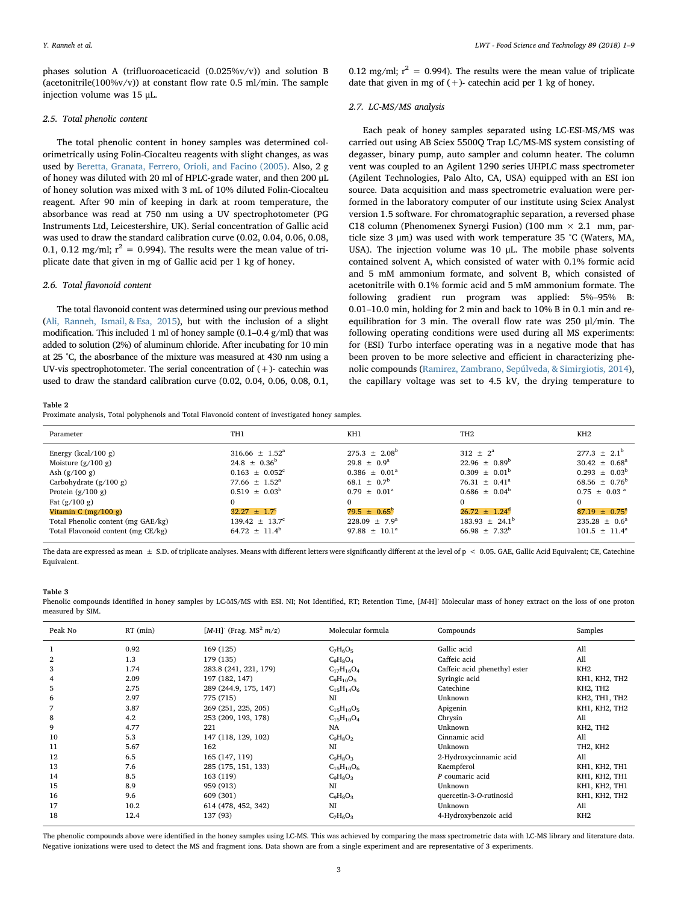phases solution A (trifluoroaceticacid (0.025%v/v)) and solution B (acetonitrile( $100\%v/v$ )) at constant flow rate 0.5 ml/min. The sample injection volume was 15 μL.

#### 2.5. Total phenolic content

The total phenolic content in honey samples was determined colorimetrically using Folin-Ciocalteu reagents with slight changes, as was used by [Beretta, Granata, Ferrero, Orioli, and Facino \(2005\)](#page-8-16). Also, 2 g of honey was diluted with 20 ml of HPLC-grade water, and then 200 μL of honey solution was mixed with 3 mL of 10% diluted Folin-Ciocalteu reagent. After 90 min of keeping in dark at room temperature, the absorbance was read at 750 nm using a UV spectrophotometer (PG Instruments Ltd, Leicestershire, UK). Serial concentration of Gallic acid was used to draw the standard calibration curve (0.02, 0.04, 0.06, 0.08, 0.1, 0.12 mg/ml;  $r^2 = 0.994$ ). The results were the mean value of triplicate date that given in mg of Gallic acid per 1 kg of honey.

#### 2.6. Total flavonoid content

The total flavonoid content was determined using our previous method [\(Ali, Ranneh, Ismail, & Esa, 2015](#page-8-17)), but with the inclusion of a slight modification. This included 1 ml of honey sample (0.1–0.4 g/ml) that was added to solution (2%) of aluminum chloride. After incubating for 10 min at 25 °C, the abosrbance of the mixture was measured at 430 nm using a UV-vis spectrophotometer. The serial concentration of  $(+)$ - catechin was used to draw the standard calibration curve (0.02, 0.04, 0.06, 0.08, 0.1,

0.12 mg/ml;  $r^2 = 0.994$ ). The results were the mean value of triplicate date that given in mg of  $(+)$ - catechin acid per 1 kg of honey.

# 2.7. LC-MS/MS analysis

Each peak of honey samples separated using LC-ESI-MS/MS was carried out using AB Sciex 5500Q Trap LC/MS-MS system consisting of degasser, binary pump, auto sampler and column heater. The column vent was coupled to an Agilent 1290 series UHPLC mass spectrometer (Agilent Technologies, Palo Alto, CA, USA) equipped with an ESI ion source. Data acquisition and mass spectrometric evaluation were performed in the laboratory computer of our institute using Sciex Analyst version 1.5 software. For chromatographic separation, a reversed phase C18 column (Phenomenex Synergi Fusion) (100 mm  $\times$  2.1 mm, particle size 3 μm) was used with work temperature 35 °C (Waters, MA, USA). The injection volume was 10 μL. The mobile phase solvents contained solvent A, which consisted of water with 0.1% formic acid and 5 mM ammonium formate, and solvent B, which consisted of acetonitrile with 0.1% formic acid and 5 mM ammonium formate. The following gradient run program was applied: 5%–95% B: 0.01–10.0 min, holding for 2 min and back to 10% B in 0.1 min and reequilibration for 3 min. The overall flow rate was 250 μl/min. The following operating conditions were used during all MS experiments: for (ESI) Turbo interface operating was in a negative mode that has been proven to be more selective and efficient in characterizing phenolic compounds [\(Ramirez, Zambrano, Sepúlveda, & Simirgiotis, 2014](#page-8-18)), the capillary voltage was set to 4.5 kV, the drying temperature to

<span id="page-2-1"></span>Table 2

Proximate analysis, Total polyphenols and Total Flavonoid content of investigated honey samples.

| Parameter                                                                                                                                                                                                                                     | TH <sub>1</sub>                                                                                                                                                                                                               | KH1                                                                                                                                                                                                                    | TH <sub>2</sub>                                                                                                                                                                                 | KH <sub>2</sub>                                                                                                                                                                                                                   |
|-----------------------------------------------------------------------------------------------------------------------------------------------------------------------------------------------------------------------------------------------|-------------------------------------------------------------------------------------------------------------------------------------------------------------------------------------------------------------------------------|------------------------------------------------------------------------------------------------------------------------------------------------------------------------------------------------------------------------|-------------------------------------------------------------------------------------------------------------------------------------------------------------------------------------------------|-----------------------------------------------------------------------------------------------------------------------------------------------------------------------------------------------------------------------------------|
| Energy ( $kcal/100$ g)<br>Moisture $(g/100 g)$<br>Ash $(g/100 g)$<br>Carbohydrate $(g/100 g)$<br>Protein $(g/100 g)$<br>Fat $(g/100 g)$<br>Vitamin C $(mg/100 g)$<br>Total Phenolic content (mg GAE/kg)<br>Total Flavonoid content (mg CE/kg) | $316.66 \pm 1.52^{\circ}$<br>$24.8 \pm 0.36^{\circ}$<br>$0.163 \pm 0.052$ <sup>c</sup><br>77.66 $\pm$ 1.52 <sup>a</sup><br>$0.519 + 0.03^b$<br>0<br>$32.27 \pm 1.7^c$<br>$139.42 \pm 13.7^c$<br>64.72 $\pm$ 11.4 <sup>b</sup> | $275.3 + 2.08^b$<br>$29.8 \pm 0.9^{\circ}$<br>$0.386 \pm 0.01^a$<br>68.1 $\pm$ 0.7 <sup>b</sup><br>$0.79 \pm 0.01^{\text{a}}$<br>$\Omega$<br>$79.5 \pm 0.65^{\rm b}$<br>$228.09 \pm 7.9^{\circ}$<br>$97.88 \pm 10.1^a$ | $312 \pm 2^a$<br>$22.96 \pm 0.89^b$<br>$0.309 \pm 0.01^{\rm b}$<br>76.31 $\pm$ 0.41 <sup>a</sup><br>$0.686 \pm 0.04^b$<br>$26.72 \pm 1.24^d$<br>$183.93 \pm 24.1^{\circ}$<br>$66.98 \pm 7.32^b$ | $277.3 \pm 2.1^{\rm b}$<br>$30.42 \pm 0.68^{\circ}$<br>$0.293 \pm 0.03^b$<br>68.56 $\pm$ 0.76 <sup>b</sup><br>$0.75 \pm 0.03$ <sup>a</sup><br>$\Omega$<br>$87.19 \pm 0.75^{\text{a}}$<br>$235.28 \pm 0.6^a$<br>$101.5 \pm 11.4^a$ |
|                                                                                                                                                                                                                                               |                                                                                                                                                                                                                               |                                                                                                                                                                                                                        |                                                                                                                                                                                                 |                                                                                                                                                                                                                                   |

The data are expressed as mean  $\pm$  S.D. of triplicate analyses. Means with different letters were significantly different at the level of p < 0.05. GAE, Gallic Acid Equivalent; CE, Catechine Equivalent.

#### <span id="page-2-0"></span>Table 3

Phenolic compounds identified in honey samples by LC-MS/MS with ESI. NI; Not Identified, RT; Retention Time, [M-H] Molecular mass of honey extract on the loss of one proton measured by SIM.

| Peak No | $RT$ (min) | [M-H] (Frag. MS <sup>2</sup> $m/z$ ) | Molecular formula<br>Compounds |                              | Samples                           |
|---------|------------|--------------------------------------|--------------------------------|------------------------------|-----------------------------------|
|         | 0.92       | 169 (125)                            | $C_7H_6O_5$                    | Gallic acid                  | All                               |
| 2       | 1.3        | 179 (135)                            | $C_9H_8O_4$                    | Caffeic acid                 | All                               |
| 3       | 1.74       | 283.8 (241, 221, 179)                | $C_{17}H_{16}O_4$              | Caffeic acid phenethyl ester | KH <sub>2</sub>                   |
|         | 2.09       | 197 (182, 147)                       | $C_9H_{10}O_5$                 | Syringic acid                | KH1, KH2, TH2                     |
| 5       | 2.75       | 289 (244.9, 175, 147)                | $C_{15}H_{14}O_6$              | Catechine                    | KH2, TH2                          |
| 6       | 2.97       | 775 (715)                            | NI                             | Unknown                      | KH2, TH1, TH2                     |
|         | 3.87       | 269 (251, 225, 205)                  | $C_{15}H_{10}O_5$              | Apigenin                     | KH1, KH2, TH2                     |
| 8       | 4.2        | 253 (209, 193, 178)                  | $C_{15}H_{10}O_4$              | Chrysin                      | All                               |
| 9       | 4.77       | 221                                  | NA                             | Unknown                      | KH2, TH2                          |
| 10      | 5.3        | 147 (118, 129, 102)                  | $C_9H_8O_2$                    | Cinnamic acid                | All                               |
| 11      | 5.67       | 162                                  | NI                             | Unknown                      | TH <sub>2</sub> , KH <sub>2</sub> |
| 12      | 6.5        | 165 (147, 119)                       | $C_9H_8O_3$                    | 2-Hydroxycinnamic acid       | All                               |
| 13      | 7.6        | 285 (175, 151, 133)                  | $C_{15}H_{10}O_6$              | Kaempferol                   | KH1, KH2, TH1                     |
| 14      | 8.5        | 163 (119)                            | $C_9H_8O_3$                    | P coumaric acid              | KH1, KH2, TH1                     |
| 15      | 8.9        | 959 (913)                            | NI                             | Unknown                      | KH1, KH2, TH1                     |
| 16      | 9.6        | 609 (301)                            | $C_9H_8O_3$                    | quercetin-3-O-rutinosid      | KH1, KH2, TH2                     |
| 17      | 10.2       | 614 (478, 452, 342)                  | NI                             | Unknown                      | All                               |
| 18      | 12.4       | 137 (93)                             | $C_7H_6O_3$                    | 4-Hydroxybenzoic acid        | KH <sub>2</sub>                   |

The phenolic compounds above were identified in the honey samples using LC-MS. This was achieved by comparing the mass spectrometric data with LC-MS library and literature data. Negative ionizations were used to detect the MS and fragment ions. Data shown are from a single experiment and are representative of 3 experiments.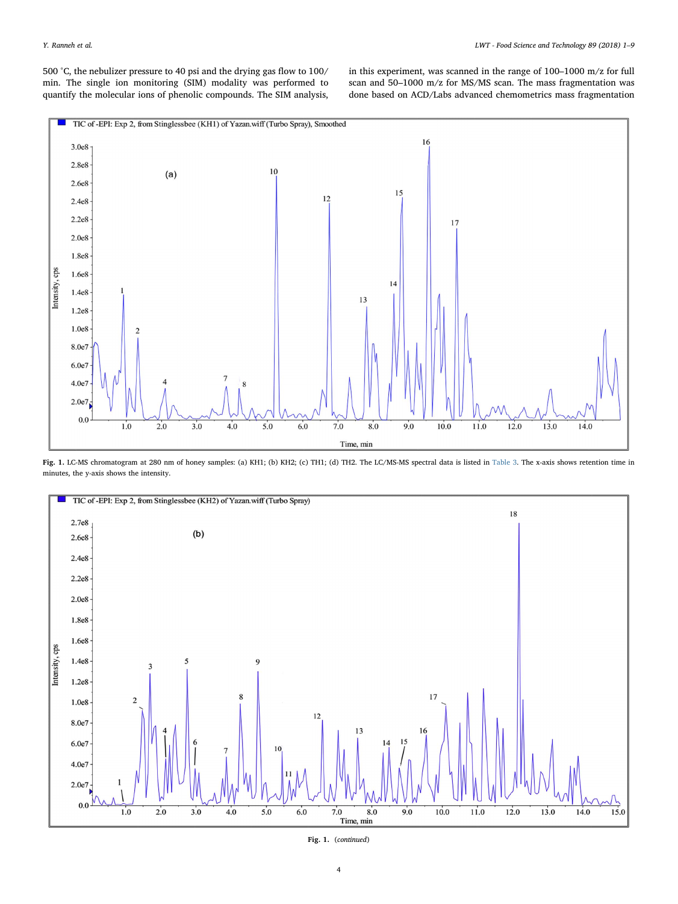500 °C, the nebulizer pressure to 40 psi and the drying gas flow to 100/ min. The single ion monitoring (SIM) modality was performed to quantify the molecular ions of phenolic compounds. The SIM analysis,

in this experiment, was scanned in the range of 100–1000 m/z for full scan and 50–1000 m/z for MS/MS scan. The mass fragmentation was done based on ACD/Labs advanced chemometrics mass fragmentation

<span id="page-3-0"></span>

Fig. 1. LC-MS chromatogram at 280 nm of honey samples: (a) KH1; (b) KH2; (c) TH1; (d) TH2. The LC/MS-MS spectral data is listed in [Table 3](#page-2-0). The x-axis shows retention time in minutes, the y-axis shows the intensity.



Fig. 1. (continued)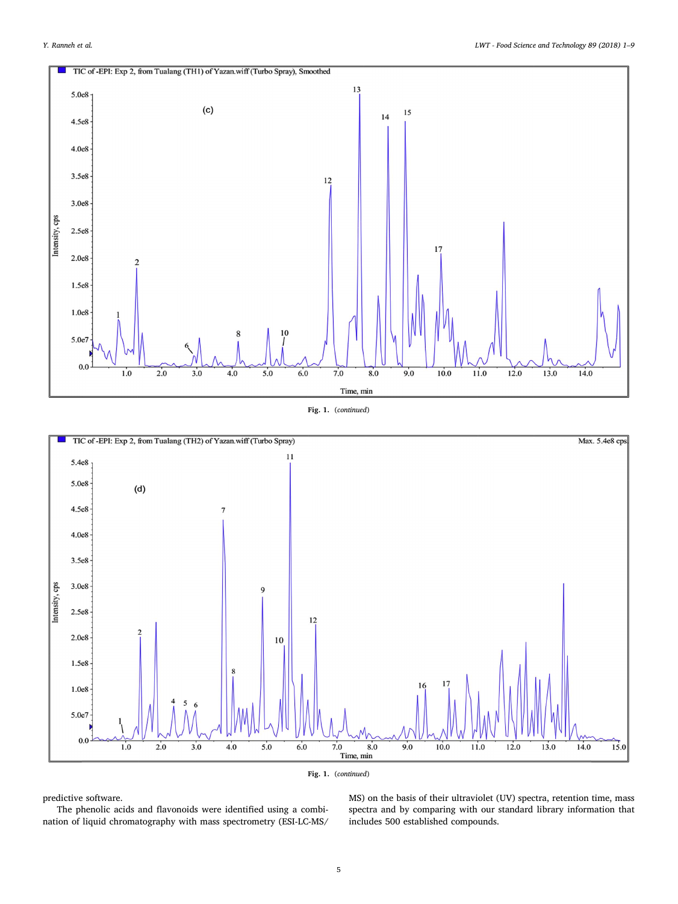

Fig. 1. (continued)





predictive software.

The phenolic acids and flavonoids were identified using a combination of liquid chromatography with mass spectrometry (ESI-LC-MS/ MS) on the basis of their ultraviolet (UV) spectra, retention time, mass spectra and by comparing with our standard library information that includes 500 established compounds.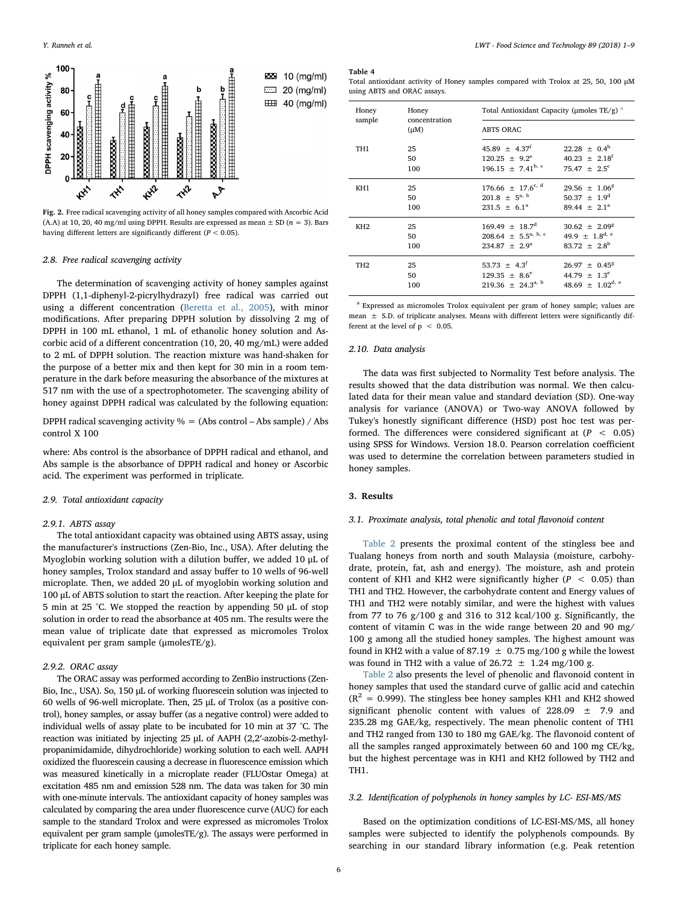<span id="page-5-1"></span>

Fig. 2. Free radical scavenging activity of all honey samples compared with Ascorbic Acid (A.A) at 10, 20, 40 mg/ml using DPPH. Results are expressed as mean  $\pm$  SD ( $n = 3$ ). Bars having different letters are significantly different ( $P < 0.05$ ).

#### 2.8. Free radical scavenging activity

The determination of scavenging activity of honey samples against DPPH (1,1-diphenyl-2-picrylhydrazyl) free radical was carried out using a different concentration ([Beretta et al., 2005\)](#page-8-16), with minor modifications. After preparing DPPH solution by dissolving 2 mg of DPPH in 100 mL ethanol, 1 mL of ethanolic honey solution and Ascorbic acid of a different concentration (10, 20, 40 mg/mL) were added to 2 mL of DPPH solution. The reaction mixture was hand-shaken for the purpose of a better mix and then kept for 30 min in a room temperature in the dark before measuring the absorbance of the mixtures at 517 nm with the use of a spectrophotometer. The scavenging ability of honey against DPPH radical was calculated by the following equation:

DPPH radical scavenging activity  $% = (Abs control - Abs sample) / Abs$ control X 100

where: Abs control is the absorbance of DPPH radical and ethanol, and Abs sample is the absorbance of DPPH radical and honey or Ascorbic acid. The experiment was performed in triplicate.

#### 2.9. Total antioxidant capacity

#### 2.9.1. ABTS assay

The total antioxidant capacity was obtained using ABTS assay, using the manufacturer's instructions (Zen-Bio, Inc., USA). After deluting the Myoglobin working solution with a dilution buffer, we added 10 μL of honey samples, Trolox standard and assay buffer to 10 wells of 96-well microplate. Then, we added 20 μL of myoglobin working solution and 100 μL of ABTS solution to start the reaction. After keeping the plate for 5 min at 25 °C. We stopped the reaction by appending 50 μL of stop solution in order to read the absorbance at 405 nm. The results were the mean value of triplicate date that expressed as micromoles Trolox equivalent per gram sample (μmolesTE/g).

# 2.9.2. ORAC assay

The ORAC assay was performed according to ZenBio instructions (Zen-Bio, Inc., USA). So, 150 μL of working fluorescein solution was injected to 60 wells of 96-well microplate. Then, 25 μL of Trolox (as a positive control), honey samples, or assay buffer (as a negative control) were added to individual wells of assay plate to be incubated for 10 min at 37 °C. The reaction was initiated by injecting 25 μL of AAPH (2,2′-azobis-2-methylpropanimidamide, dihydrochloride) working solution to each well. AAPH oxidized the fluorescein causing a decrease in fluorescence emission which was measured kinetically in a microplate reader (FLUOstar Omega) at excitation 485 nm and emission 528 nm. The data was taken for 30 min with one-minute intervals. The antioxidant capacity of honey samples was calculated by comparing the area under fluorescence curve (AUC) for each sample to the standard Trolox and were expressed as micromoles Trolox equivalent per gram sample (μmolesTE/g). The assays were performed in triplicate for each honey sample.

#### <span id="page-5-2"></span>Table 4

Total antioxidant activity of Honey samples compared with Trolox at 25, 50, 100 μM using ABTS and ORAC assays.

| Honey           | Honey                      | Total Antioxidant Capacity ( $\mu$ moles TE/g) <sup>a</sup> |                                  |  |  |  |
|-----------------|----------------------------|-------------------------------------------------------------|----------------------------------|--|--|--|
| sample          | concentration<br>$(\mu M)$ | <b>ABTS ORAC</b>                                            |                                  |  |  |  |
| TH1             | 25                         | $45.89 \pm 4.37$ <sup>f</sup>                               | $22.28 \pm 0.4^{\rm h}$          |  |  |  |
|                 | 50                         | $120.25 \pm 9.2^e$                                          | $40.23 \pm 2.18^f$               |  |  |  |
|                 | 100                        | 196.15 $\pm$ 7.41 <sup>b, c</sup>                           | 75.47 $\pm$ 2.5 <sup>c</sup>     |  |  |  |
| KH1             | 25                         | $176.66 \pm 17.6^{c, d}$                                    | $29.56 \pm 1.06^8$               |  |  |  |
|                 | 50                         | $201.8 \pm 5^{a, b}$                                        | $50.37 \pm 1.9^d$                |  |  |  |
|                 | 100                        | $231.5 \pm 6.1^a$                                           | 89.44 $\pm$ 2.1 <sup>a</sup>     |  |  |  |
| KH <sub>2</sub> | 25                         | $169.49 \pm 18.7^d$                                         | $30.62 \pm 2.09^8$               |  |  |  |
|                 | 50                         | 208.64 $\pm$ 5.5 <sup>a, b, c</sup>                         | 49.9 $\pm$ 1.8 <sup>d, e</sup>   |  |  |  |
|                 | 100                        | $234.87 \pm 2.9^a$                                          | $83.72 \pm 2.8^{\rm b}$          |  |  |  |
| TH <sub>2</sub> | 25                         | 53.73 $\pm$ 4.3 <sup>f</sup>                                | $26.97 \pm 0.45^8$               |  |  |  |
|                 | 50                         | $129.35 \pm 8.6^e$                                          | 44.79 $\pm$ 1.3 <sup>e</sup>     |  |  |  |
|                 | 100                        | $219.36 \pm 24.3^{a, b}$                                    | 48.69 $\pm$ 1.02 <sup>d, e</sup> |  |  |  |

<span id="page-5-0"></span><sup>a</sup> Expressed as micromoles Trolox equivalent per gram of honey sample; values are mean ± S.D. of triplicate analyses. Means with different letters were significantly different at the level of  $p < 0.05$ .

#### 2.10. Data analysis

The data was first subjected to Normality Test before analysis. The results showed that the data distribution was normal. We then calculated data for their mean value and standard deviation (SD). One-way analysis for variance (ANOVA) or Two-way ANOVA followed by Tukey's honestly significant difference (HSD) post hoc test was performed. The differences were considered significant at  $(P < 0.05)$ using SPSS for Windows. Version 18.0. Pearson correlation coefficient was used to determine the correlation between parameters studied in honey samples.

#### 3. Results

#### 3.1. Proximate analysis, total phenolic and total flavonoid content

[Table 2](#page-2-1) presents the proximal content of the stingless bee and Tualang honeys from north and south Malaysia (moisture, carbohydrate, protein, fat, ash and energy). The moisture, ash and protein content of KH1 and KH2 were significantly higher ( $P < 0.05$ ) than TH1 and TH2. However, the carbohydrate content and Energy values of TH1 and TH2 were notably similar, and were the highest with values from 77 to 76 g/100 g and 316 to 312 kcal/100 g. Significantly, the content of vitamin C was in the wide range between 20 and 90 mg/ 100 g among all the studied honey samples. The highest amount was found in KH2 with a value of 87.19  $\pm$  0.75 mg/100 g while the lowest was found in TH2 with a value of  $26.72 \pm 1.24$  mg/100 g.

[Table 2](#page-2-1) also presents the level of phenolic and flavonoid content in honey samples that used the standard curve of gallic acid and catechin  $(R<sup>2</sup> = 0.999)$ . The stingless bee honey samples KH1 and KH2 showed significant phenolic content with values of 228.09 ± 7.9 and 235.28 mg GAE/kg, respectively. The mean phenolic content of TH1 and TH2 ranged from 130 to 180 mg GAE/kg. The flavonoid content of all the samples ranged approximately between 60 and 100 mg CE/kg, but the highest percentage was in KH1 and KH2 followed by TH2 and TH1.

#### 3.2. Identification of polyphenols in honey samples by LC- ESI-MS/MS

Based on the optimization conditions of LC-ESI-MS/MS, all honey samples were subjected to identify the polyphenols compounds. By searching in our standard library information (e.g. Peak retention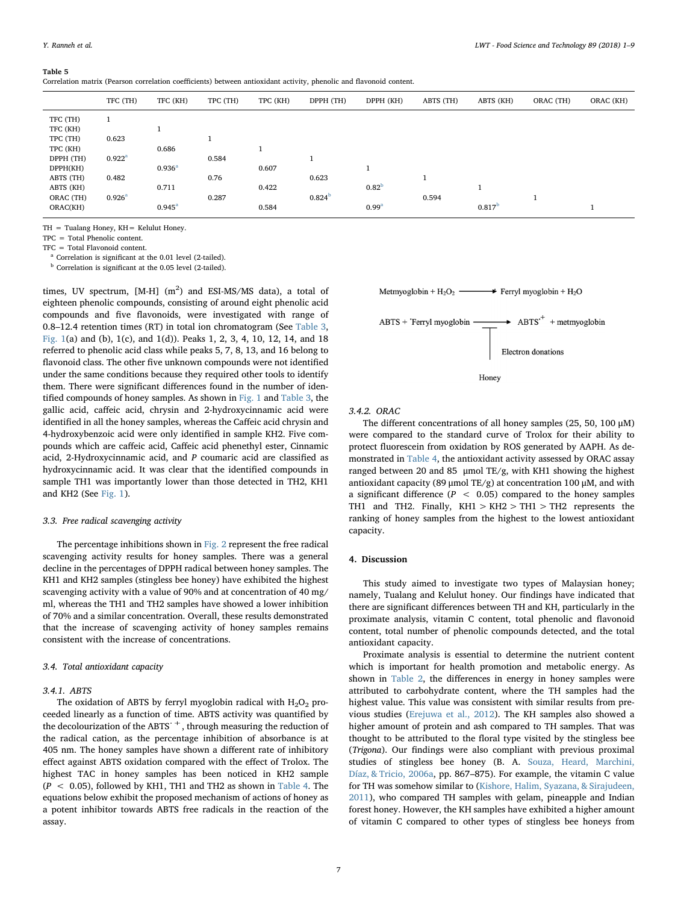#### <span id="page-6-2"></span>Table 5

Correlation matrix (Pearson correlation coefficients) between antioxidant activity, phenolic and flavonoid content.

|           | TFC (TH)        | TFC (KH)           | TPC (TH) | TPC (KH) | DPPH (TH)          | DPPH (KH)         | ABTS (TH)    | ABTS (KH)          | ORAC (TH) | ORAC (KH) |
|-----------|-----------------|--------------------|----------|----------|--------------------|-------------------|--------------|--------------------|-----------|-----------|
| TFC (TH)  |                 |                    |          |          |                    |                   |              |                    |           |           |
| TFC (KH)  |                 | <b>T</b>           |          |          |                    |                   |              |                    |           |           |
| TPC (TH)  | 0.623           |                    |          |          |                    |                   |              |                    |           |           |
| TPC (KH)  |                 | 0.686              |          |          |                    |                   |              |                    |           |           |
| DPPH (TH) | $0.922^{\rm a}$ |                    | 0.584    |          |                    |                   |              |                    |           |           |
| DPPH(KH)  |                 | 0.936 <sup>a</sup> |          | 0.607    |                    |                   |              |                    |           |           |
| ABTS (TH) | 0.482           |                    | 0.76     |          | 0.623              |                   | $\mathbf{1}$ |                    |           |           |
| ABTS (KH) |                 | 0.711              |          | 0.422    |                    | 0.82 <sup>b</sup> |              |                    |           |           |
| ORAC (TH) | $0.926^{\rm a}$ |                    | 0.287    |          | 0.824 <sup>b</sup> |                   | 0.594        |                    | п         |           |
| ORAC(KH)  |                 | $0.945^{\rm a}$    |          | 0.584    |                    | 0.99 <sup>a</sup> |              | 0.817 <sup>b</sup> |           |           |

TH = Tualang Honey, KH= Kelulut Honey.

TPC = Total Phenolic content.

TFC = Total Flavonoid content.

<span id="page-6-0"></span><sup>a</sup> Correlation is significant at the 0.01 level (2-tailed).

<span id="page-6-1"></span> $<sup>b</sup>$  Correlation is significant at the 0.05 level (2-tailed).</sup>

times, UV spectrum, [M-H]  $(m^2)$  and ESI-MS/MS data), a total of eighteen phenolic compounds, consisting of around eight phenolic acid compounds and five flavonoids, were investigated with range of 0.8–12.4 retention times (RT) in total ion chromatogram (See [Table 3](#page-2-0), [Fig. 1](#page-3-0)(a) and (b), 1(c), and 1(d)). Peaks 1, 2, 3, 4, 10, 12, 14, and 18 referred to phenolic acid class while peaks 5, 7, 8, 13, and 16 belong to flavonoid class. The other five unknown compounds were not identified under the same conditions because they required other tools to identify them. There were significant differences found in the number of identified compounds of honey samples. As shown in [Fig. 1](#page-3-0) and [Table 3](#page-2-0), the gallic acid, caffeic acid, chrysin and 2-hydroxycinnamic acid were identified in all the honey samples, whereas the Caffeic acid chrysin and 4-hydroxybenzoic acid were only identified in sample KH2. Five compounds which are caffeic acid, Caffeic acid phenethyl ester, Cinnamic acid, 2-Hydroxycinnamic acid, and P coumaric acid are classified as hydroxycinnamic acid. It was clear that the identified compounds in sample TH1 was importantly lower than those detected in TH2, KH1 and KH2 (See [Fig. 1](#page-3-0)).

#### 3.3. Free radical scavenging activity

The percentage inhibitions shown in [Fig. 2](#page-5-1) represent the free radical scavenging activity results for honey samples. There was a general decline in the percentages of DPPH radical between honey samples. The KH1 and KH2 samples (stingless bee honey) have exhibited the highest scavenging activity with a value of 90% and at concentration of 40 mg/ ml, whereas the TH1 and TH2 samples have showed a lower inhibition of 70% and a similar concentration. Overall, these results demonstrated that the increase of scavenging activity of honey samples remains consistent with the increase of concentrations.

#### 3.4. Total antioxidant capacity

#### 3.4.1. ABTS

The oxidation of ABTS by ferryl myoglobin radical with  $H_2O_2$  proceeded linearly as a function of time. ABTS activity was quantified by the decolourization of the ABTS  $^+$ , through measuring the reduction of the radical cation, as the percentage inhibition of absorbance is at 405 nm. The honey samples have shown a different rate of inhibitory effect against ABTS oxidation compared with the effect of Trolox. The highest TAC in honey samples has been noticed in KH2 sample  $(P < 0.05)$ , followed by KH1, TH1 and TH2 as shown in [Table 4.](#page-5-2) The equations below exhibit the proposed mechanism of actions of honey as a potent inhibitor towards ABTS free radicals in the reaction of the assay.



ABTS + Terryl myoglobin 
$$
\longrightarrow
$$
 ABTS<sup>+</sup> + metmyoglobin  
\nElectron donations

Honey

3.4.2. ORAC

The different concentrations of all honey samples (25, 50, 100 μM) were compared to the standard curve of Trolox for their ability to protect fluorescein from oxidation by ROS generated by AAPH. As demonstrated in [Table 4](#page-5-2), the antioxidant activity assessed by ORAC assay ranged between 20 and 85 μmol TE/g, with KH1 showing the highest antioxidant capacity (89 μmol TE/g) at concentration 100 μM, and with a significant difference ( $P < 0.05$ ) compared to the honey samples TH1 and TH2. Finally,  $KH1 > KH2 > TH1 > TH2$  represents the ranking of honey samples from the highest to the lowest antioxidant capacity.

#### 4. Discussion

This study aimed to investigate two types of Malaysian honey; namely, Tualang and Kelulut honey. Our findings have indicated that there are significant differences between TH and KH, particularly in the proximate analysis, vitamin C content, total phenolic and flavonoid content, total number of phenolic compounds detected, and the total antioxidant capacity.

Proximate analysis is essential to determine the nutrient content which is important for health promotion and metabolic energy. As shown in [Table 2,](#page-2-1) the differences in energy in honey samples were attributed to carbohydrate content, where the TH samples had the highest value. This value was consistent with similar results from previous studies ([Erejuwa et al., 2012](#page-8-7)). The KH samples also showed a higher amount of protein and ash compared to TH samples. That was thought to be attributed to the floral type visited by the stingless bee (Trigona). Our findings were also compliant with previous proximal studies of stingless bee honey (B. A. [Souza, Heard, Marchini,](#page-8-19) [Díaz, & Tricio, 2006a,](#page-8-19) pp. 867–875). For example, the vitamin C value for TH was somehow similar to [\(Kishore, Halim, Syazana, & Sirajudeen,](#page-8-20) [2011\)](#page-8-20), who compared TH samples with gelam, pineapple and Indian forest honey. However, the KH samples have exhibited a higher amount of vitamin C compared to other types of stingless bee honeys from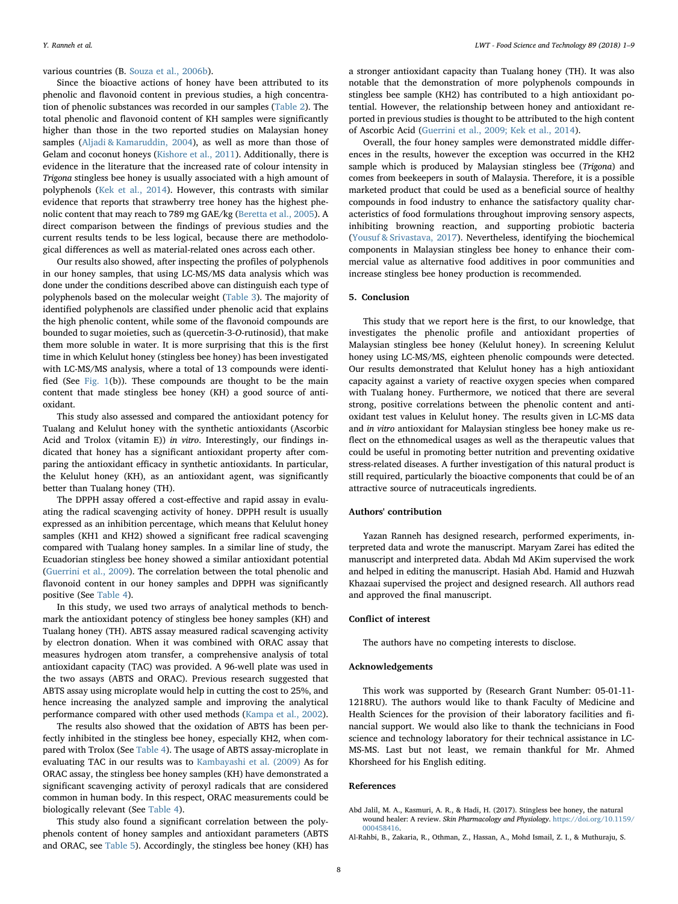#### various countries (B. [Souza et al., 2006b](#page-8-21)).

Since the bioactive actions of honey have been attributed to its phenolic and flavonoid content in previous studies, a high concentration of phenolic substances was recorded in our samples ([Table 2\)](#page-2-1). The total phenolic and flavonoid content of KH samples were significantly higher than those in the two reported studies on Malaysian honey samples [\(Aljadi & Kamaruddin, 2004](#page-8-22)), as well as more than those of Gelam and coconut honeys ([Kishore et al., 2011\)](#page-8-20). Additionally, there is evidence in the literature that the increased rate of colour intensity in Trigona stingless bee honey is usually associated with a high amount of polyphenols ([Kek et al., 2014\)](#page-8-23). However, this contrasts with similar evidence that reports that strawberry tree honey has the highest phenolic content that may reach to 789 mg GAE/kg ([Beretta et al., 2005](#page-8-16)). A direct comparison between the findings of previous studies and the current results tends to be less logical, because there are methodological differences as well as material-related ones across each other.

Our results also showed, after inspecting the profiles of polyphenols in our honey samples, that using LC-MS/MS data analysis which was done under the conditions described above can distinguish each type of polyphenols based on the molecular weight ([Table 3](#page-2-0)). The majority of identified polyphenols are classified under phenolic acid that explains the high phenolic content, while some of the flavonoid compounds are bounded to sugar moieties, such as (quercetin-3-O-rutinosid), that make them more soluble in water. It is more surprising that this is the first time in which Kelulut honey (stingless bee honey) has been investigated with LC-MS/MS analysis, where a total of 13 compounds were identified (See [Fig. 1](#page-3-0)(b)). These compounds are thought to be the main content that made stingless bee honey (KH) a good source of antioxidant.

This study also assessed and compared the antioxidant potency for Tualang and Kelulut honey with the synthetic antioxidants (Ascorbic Acid and Trolox (vitamin E)) in vitro. Interestingly, our findings indicated that honey has a significant antioxidant property after comparing the antioxidant efficacy in synthetic antioxidants. In particular, the Kelulut honey (KH), as an antioxidant agent, was significantly better than Tualang honey (TH).

The DPPH assay offered a cost-effective and rapid assay in evaluating the radical scavenging activity of honey. DPPH result is usually expressed as an inhibition percentage, which means that Kelulut honey samples (KH1 and KH2) showed a significant free radical scavenging compared with Tualang honey samples. In a similar line of study, the Ecuadorian stingless bee honey showed a similar antioxidant potential ([Guerrini et al., 2009](#page-8-24)). The correlation between the total phenolic and flavonoid content in our honey samples and DPPH was significantly positive (See [Table 4](#page-5-2)).

In this study, we used two arrays of analytical methods to benchmark the antioxidant potency of stingless bee honey samples (KH) and Tualang honey (TH). ABTS assay measured radical scavenging activity by electron donation. When it was combined with ORAC assay that measures hydrogen atom transfer, a comprehensive analysis of total antioxidant capacity (TAC) was provided. A 96-well plate was used in the two assays (ABTS and ORAC). Previous research suggested that ABTS assay using microplate would help in cutting the cost to 25%, and hence increasing the analyzed sample and improving the analytical performance compared with other used methods ([Kampa et al., 2002](#page-8-25)).

The results also showed that the oxidation of ABTS has been perfectly inhibited in the stingless bee honey, especially KH2, when compared with Trolox (See [Table 4\)](#page-5-2). The usage of ABTS assay-microplate in evaluating TAC in our results was to [Kambayashi et al. \(2009\)](#page-8-13) As for ORAC assay, the stingless bee honey samples (KH) have demonstrated a significant scavenging activity of peroxyl radicals that are considered common in human body. In this respect, ORAC measurements could be biologically relevant (See [Table 4](#page-5-2)).

This study also found a significant correlation between the polyphenols content of honey samples and antioxidant parameters (ABTS and ORAC, see [Table 5\)](#page-6-2). Accordingly, the stingless bee honey (KH) has a stronger antioxidant capacity than Tualang honey (TH). It was also notable that the demonstration of more polyphenols compounds in stingless bee sample (KH2) has contributed to a high antioxidant potential. However, the relationship between honey and antioxidant reported in previous studies is thought to be attributed to the high content of Ascorbic Acid ([Guerrini et al., 2009; Kek et al., 2014](#page-8-24)).

Overall, the four honey samples were demonstrated middle differences in the results, however the exception was occurred in the KH2 sample which is produced by Malaysian stingless bee (Trigona) and comes from beekeepers in south of Malaysia. Therefore, it is a possible marketed product that could be used as a beneficial source of healthy compounds in food industry to enhance the satisfactory quality characteristics of food formulations throughout improving sensory aspects, inhibiting browning reaction, and supporting probiotic bacteria ([Yousuf & Srivastava, 2017\)](#page-8-26). Nevertheless, identifying the biochemical components in Malaysian stingless bee honey to enhance their commercial value as alternative food additives in poor communities and increase stingless bee honey production is recommended.

#### 5. Conclusion

This study that we report here is the first, to our knowledge, that investigates the phenolic profile and antioxidant properties of Malaysian stingless bee honey (Kelulut honey). In screening Kelulut honey using LC-MS/MS, eighteen phenolic compounds were detected. Our results demonstrated that Kelulut honey has a high antioxidant capacity against a variety of reactive oxygen species when compared with Tualang honey. Furthermore, we noticed that there are several strong, positive correlations between the phenolic content and antioxidant test values in Kelulut honey. The results given in LC-MS data and in vitro antioxidant for Malaysian stingless bee honey make us reflect on the ethnomedical usages as well as the therapeutic values that could be useful in promoting better nutrition and preventing oxidative stress-related diseases. A further investigation of this natural product is still required, particularly the bioactive components that could be of an attractive source of nutraceuticals ingredients.

# Authors' contribution

Yazan Ranneh has designed research, performed experiments, interpreted data and wrote the manuscript. Maryam Zarei has edited the manuscript and interpreted data. Abdah Md AKim supervised the work and helped in editing the manuscript. Hasiah Abd. Hamid and Huzwah Khazaai supervised the project and designed research. All authors read and approved the final manuscript.

#### Conflict of interest

The authors have no competing interests to disclose.

#### Acknowledgements

This work was supported by (Research Grant Number: 05-01-11- 1218RU). The authors would like to thank Faculty of Medicine and Health Sciences for the provision of their laboratory facilities and financial support. We would also like to thank the technicians in Food science and technology laboratory for their technical assistance in LC-MS-MS. Last but not least, we remain thankful for Mr. Ahmed Khorsheed for his English editing.

#### References

<span id="page-7-0"></span>Abd Jalil, M. A., Kasmuri, A. R., & Hadi, H. (2017). Stingless bee honey, the natural wound healer: A review. Skin Pharmacology and Physiology. [https://doi.org/10.1159/](https://doi.org/10.1159/000458416) [000458416.](https://doi.org/10.1159/000458416)

<span id="page-7-1"></span>Al-Rahbi, B., Zakaria, R., Othman, Z., Hassan, A., Mohd Ismail, Z. I., & Muthuraju, S.